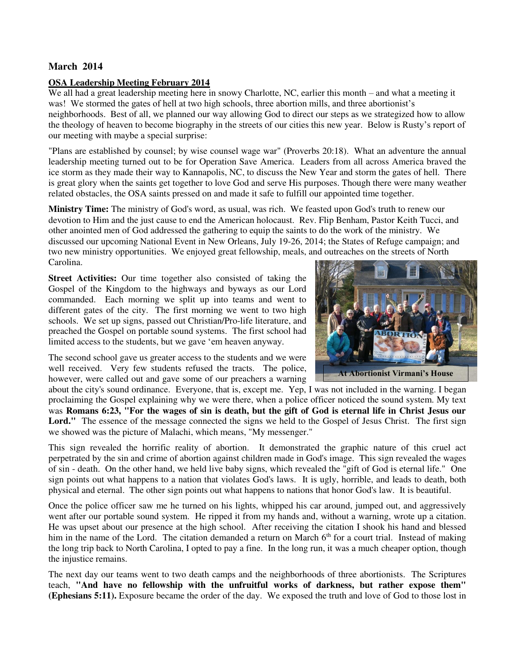### **March 2014**

#### **OSA Leadership Meeting February 2014**

We all had a great leadership meeting here in snowy Charlotte, NC, earlier this month – and what a meeting it was! We stormed the gates of hell at two high schools, three abortion mills, and three abortionist's neighborhoods. Best of all, we planned our way allowing God to direct our steps as we strategized how to allow the theology of heaven to become biography in the streets of our cities this new year. Below is Rusty's report of our meeting with maybe a special surprise:

"Plans are established by counsel; by wise counsel wage war" (Proverbs 20:18). What an adventure the annual leadership meeting turned out to be for Operation Save America. Leaders from all across America braved the ice storm as they made their way to Kannapolis, NC, to discuss the New Year and storm the gates of hell. There is great glory when the saints get together to love God and serve His purposes. Though there were many weather related obstacles, the OSA saints pressed on and made it safe to fulfill our appointed time together.

**Ministry Time:** The ministry of God's word, as usual, was rich. We feasted upon God's truth to renew our devotion to Him and the just cause to end the American holocaust. Rev. Flip Benham, Pastor Keith Tucci, and other anointed men of God addressed the gathering to equip the saints to do the work of the ministry. We discussed our upcoming National Event in New Orleans, July 19-26, 2014; the States of Refuge campaign; and two new ministry opportunities. We enjoyed great fellowship, meals, and outreaches on the streets of North Carolina.

**Street Activities:** Our time together also consisted of taking the Gospel of the Kingdom to the highways and byways as our Lord commanded. Each morning we split up into teams and went to different gates of the city. The first morning we went to two high schools. We set up signs, passed out Christian/Pro-life literature, and preached the Gospel on portable sound systems. The first school had limited access to the students, but we gave 'em heaven anyway.



**At Abortionist Virmani's House**

The second school gave us greater access to the students and we were well received. Very few students refused the tracts. The police, however, were called out and gave some of our preachers a warning

about the city's sound ordinance. Everyone, that is, except me. Yep, I was not included in the warning. I began proclaiming the Gospel explaining why we were there, when a police officer noticed the sound system. My text was **Romans 6:23, "For the wages of sin is death, but the gift of God is eternal life in Christ Jesus our**  Lord." The essence of the message connected the signs we held to the Gospel of Jesus Christ. The first sign we showed was the picture of Malachi, which means, "My messenger."

This sign revealed the horrific reality of abortion. It demonstrated the graphic nature of this cruel act perpetrated by the sin and crime of abortion against children made in God's image. This sign revealed the wages of sin - death. On the other hand, we held live baby signs, which revealed the "gift of God is eternal life." One sign points out what happens to a nation that violates God's laws. It is ugly, horrible, and leads to death, both physical and eternal. The other sign points out what happens to nations that honor God's law. It is beautiful.

Once the police officer saw me he turned on his lights, whipped his car around, jumped out, and aggressively went after our portable sound system. He ripped it from my hands and, without a warning, wrote up a citation. He was upset about our presence at the high school. After receiving the citation I shook his hand and blessed him in the name of the Lord. The citation demanded a return on March  $6<sup>th</sup>$  for a court trial. Instead of making the long trip back to North Carolina, I opted to pay a fine. In the long run, it was a much cheaper option, though the injustice remains.

The next day our teams went to two death camps and the neighborhoods of three abortionists. The Scriptures teach, **"And have no fellowship with the unfruitful works of darkness, but rather expose them" (Ephesians 5:11).** Exposure became the order of the day. We exposed the truth and love of God to those lost in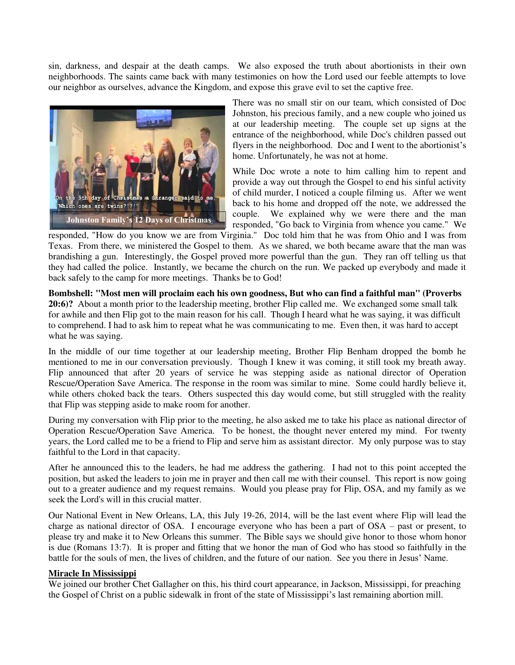sin, darkness, and despair at the death camps. We also exposed the truth about abortionists in their own neighborhoods. The saints came back with many testimonies on how the Lord used our feeble attempts to love our neighbor as ourselves, advance the Kingdom, and expose this grave evil to set the captive free.



There was no small stir on our team, which consisted of Doc Johnston, his precious family, and a new couple who joined us at our leadership meeting. The couple set up signs at the entrance of the neighborhood, while Doc's children passed out flyers in the neighborhood. Doc and I went to the abortionist's home. Unfortunately, he was not at home.

While Doc wrote a note to him calling him to repent and provide a way out through the Gospel to end his sinful activity of child murder, I noticed a couple filming us. After we went back to his home and dropped off the note, we addressed the couple. We explained why we were there and the man responded, "Go back to Virginia from whence you came." We

responded, "How do you know we are from Virginia." Doc told him that he was from Ohio and I was from Texas. From there, we ministered the Gospel to them. As we shared, we both became aware that the man was brandishing a gun. Interestingly, the Gospel proved more powerful than the gun. They ran off telling us that they had called the police. Instantly, we became the church on the run. We packed up everybody and made it back safely to the camp for more meetings. Thanks be to God!

**Bombshell: "Most men will proclaim each his own goodness, But who can find a faithful man" (Proverbs 20:6)?** About a month prior to the leadership meeting, brother Flip called me. We exchanged some small talk for awhile and then Flip got to the main reason for his call. Though I heard what he was saying, it was difficult to comprehend. I had to ask him to repeat what he was communicating to me. Even then, it was hard to accept what he was saying.

In the middle of our time together at our leadership meeting, Brother Flip Benham dropped the bomb he mentioned to me in our conversation previously. Though I knew it was coming, it still took my breath away. Flip announced that after 20 years of service he was stepping aside as national director of Operation Rescue/Operation Save America. The response in the room was similar to mine. Some could hardly believe it, while others choked back the tears. Others suspected this day would come, but still struggled with the reality that Flip was stepping aside to make room for another.

During my conversation with Flip prior to the meeting, he also asked me to take his place as national director of Operation Rescue/Operation Save America. To be honest, the thought never entered my mind. For twenty years, the Lord called me to be a friend to Flip and serve him as assistant director. My only purpose was to stay faithful to the Lord in that capacity.

After he announced this to the leaders, he had me address the gathering. I had not to this point accepted the position, but asked the leaders to join me in prayer and then call me with their counsel. This report is now going out to a greater audience and my request remains. Would you please pray for Flip, OSA, and my family as we seek the Lord's will in this crucial matter.

Our National Event in New Orleans, LA, this July 19-26, 2014, will be the last event where Flip will lead the charge as national director of OSA. I encourage everyone who has been a part of OSA – past or present, to please try and make it to New Orleans this summer. The Bible says we should give honor to those whom honor is due (Romans 13:7). It is proper and fitting that we honor the man of God who has stood so faithfully in the battle for the souls of men, the lives of children, and the future of our nation. See you there in Jesus' Name.

#### **Miracle In Mississippi**

We joined our brother Chet Gallagher on this, his third court appearance, in Jackson, Mississippi, for preaching the Gospel of Christ on a public sidewalk in front of the state of Mississippi's last remaining abortion mill.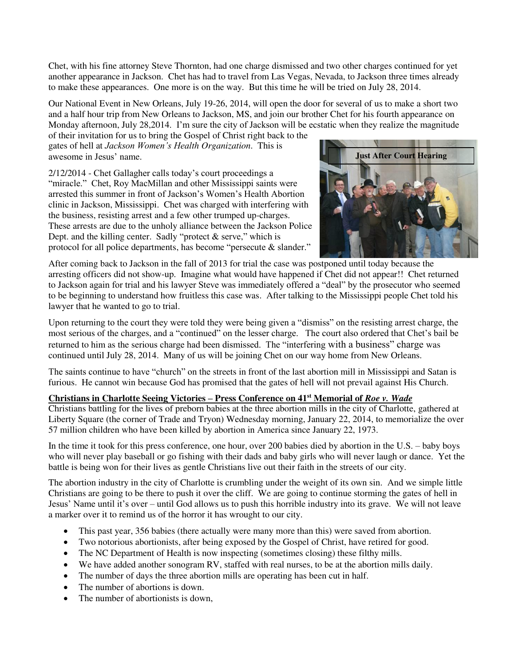Chet, with his fine attorney Steve Thornton, had one charge dismissed and two other charges continued for yet another appearance in Jackson. Chet has had to travel from Las Vegas, Nevada, to Jackson three times already to make these appearances. One more is on the way. But this time he will be tried on July 28, 2014.

Our National Event in New Orleans, July 19-26, 2014, will open the door for several of us to make a short two and a half hour trip from New Orleans to Jackson, MS, and join our brother Chet for his fourth appearance on Monday afternoon, July 28,2014. I'm sure the city of Jackson will be ecstatic when they realize the magnitude of their invitation for us to bring the Gospel of Christ right back to the

gates of hell at *Jackson Women's Health Organization*. This is awesome in Jesus' name.

2/12/2014 - Chet Gallagher calls today's court proceedings a "miracle." Chet, Roy MacMillan and other Mississippi saints were arrested this summer in front of Jackson's Women's Health Abortion clinic in Jackson, Mississippi. Chet was charged with interfering with the business, resisting arrest and a few other trumped up-charges. These arrests are due to the unholy alliance between the Jackson Police Dept. and the killing center. Sadly "protect  $\&$  serve," which is protocol for all police departments, has become "persecute & slander."



After coming back to Jackson in the fall of 2013 for trial the case was postponed until today because the arresting officers did not show-up. Imagine what would have happened if Chet did not appear!! Chet returned to Jackson again for trial and his lawyer Steve was immediately offered a "deal" by the prosecutor who seemed to be beginning to understand how fruitless this case was. After talking to the Mississippi people Chet told his lawyer that he wanted to go to trial.

Upon returning to the court they were told they were being given a "dismiss" on the resisting arrest charge, the most serious of the charges, and a "continued" on the lesser charge. The court also ordered that Chet's bail be returned to him as the serious charge had been dismissed. The "interfering with a business" charge was continued until July 28, 2014. Many of us will be joining Chet on our way home from New Orleans.

The saints continue to have "church" on the streets in front of the last abortion mill in Mississippi and Satan is furious. He cannot win because God has promised that the gates of hell will not prevail against His Church.

# **Christians in Charlotte Seeing Victories – Press Conference on 41st Memorial of** *Roe v. Wade*

Christians battling for the lives of preborn babies at the three abortion mills in the city of Charlotte, gathered at Liberty Square (the corner of Trade and Tryon) Wednesday morning, January 22, 2014, to memorialize the over 57 million children who have been killed by abortion in America since January 22, 1973.

In the time it took for this press conference, one hour, over 200 babies died by abortion in the U.S. – baby boys who will never play baseball or go fishing with their dads and baby girls who will never laugh or dance. Yet the battle is being won for their lives as gentle Christians live out their faith in the streets of our city.

The abortion industry in the city of Charlotte is crumbling under the weight of its own sin. And we simple little Christians are going to be there to push it over the cliff. We are going to continue storming the gates of hell in Jesus' Name until it's over – until God allows us to push this horrible industry into its grave. We will not leave a marker over it to remind us of the horror it has wrought to our city.

- This past year, 356 babies (there actually were many more than this) were saved from abortion.
- Two notorious abortionists, after being exposed by the Gospel of Christ, have retired for good.
- The NC Department of Health is now inspecting (sometimes closing) these filthy mills.
- We have added another sonogram RV, staffed with real nurses, to be at the abortion mills daily.
- The number of days the three abortion mills are operating has been cut in half.
- The number of abortions is down.
- The number of abortionists is down,